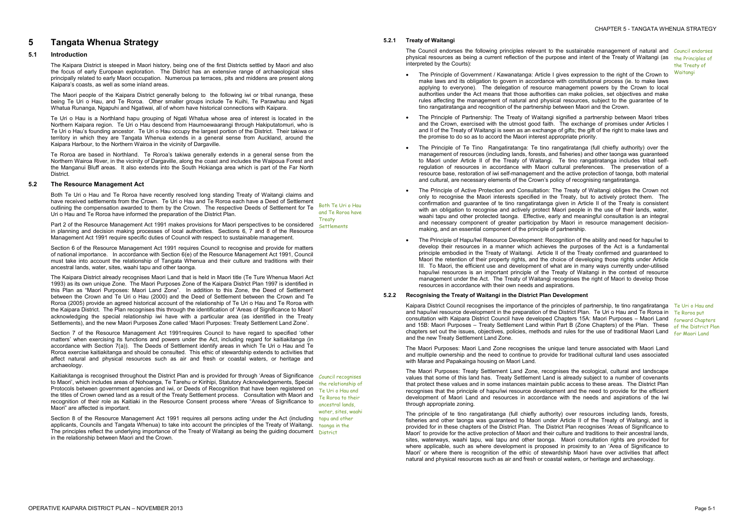# **5 Tangata Whenua Strategy**

# **5.1 Introduction**

The Kaipara District is steeped in Maori history, being one of the first Districts settled by Maori and also the focus of early European exploration. The District has an extensive range of archaeological sites principally related to early Maori occupation. Numerous pa terraces, pits and middens are present along Kaipara's coasts, as well as some inland areas.

The Maori people of the Kaipara District generally belong to the following iwi or tribal runanga, these being Te Uri o Hau, and Te Roroa. Other smaller groups include Te Kuihi, Te Parawhau and Ngati Whatua Runanga, Ngapuhi and Ngatiwai, all of whom have historical connections with Kaipara.

Te Uri o Hau is a Northland hapu grouping of Ngati Whatua whose area of interest is located in the Northern Kaipara region. Te Uri o Hau descend from Haumoewaarangi through Hakiputatomuri, who is Te Uri o Hau's founding ancestor. Te Uri o Hau occupy the largest portion of the District. Their takiwa or territory in which they are Tangata Whenua extends in a general sense from Auckland, around the Kaipara Harbour, to the Northern Wairoa in the vicinity of Dargaville.

Te Roroa are based in Northland. Te Roroa's takiwa generally extends in a general sense from the Northern Wairoa River, in the vicinity of Dargaville, along the coast and includes the Waipoua Forest and the Manganui Bluff areas. It also extends into the South Hokianga area which is part of the Far North District.

# **5.2 The Resource Management Act**

Both Te Uri o Hau and Te Roroa have recently resolved long standing Treaty of Waitangi claims and have received settlements from the Crown. Te Uri o Hau and Te Roroa each have a Deed of Settlement outlining the compensation awarded to them by the Crown. The respective Deeds of Settlement for Te Uri o Hau and Te Roroa have informed the preparation of the District Plan.

Part 2 of the Resource Management Act 1991 makes provisions for Maori perspectives to be considered in planning and decision making processes of local authorities. Sections 6, 7 and 8 of the Resource Management Act 1991 require specific duties of Council with respect to sustainable management.

Kaitiakitanga is recognised throughout the District Plan and is provided for through 'Areas of Significance Council recognises to Maori', which includes areas of Nohoanga, Te Tarehu or Kirihipi, Statutory Acknowledgements, Special Protocols between government agencies and iwi, or Deeds of Recognition that have been registered on the titles of Crown owned land as a result of the Treaty Settlement process. Consultation with Maori and recognition of their role as Kaitiaki in the Resource Consent process where "Areas of Significance to Maori" are affected is important.

Both Te Uri o Hau and Te Roroa have **Treaty Settlements** 

Section 6 of the Resource Management Act 1991 requires Council to recognise and provide for matters of national importance. In accordance with Section 6(e) of the Resource Management Act 1991, Council must take into account the relationship of Tangata Whenua and their culture and traditions with their ancestral lands, water, sites, waahi tapu and other taonga.

The Council endorses the following principles relevant to the sustainable management of natural and Council endorses physical resources as being a current reflection of the purpose and intent of the Treaty of Waitangi (as the Principles of interpreted by the Courts):

The Kaipara District already recognises Maori Land that is held in Maori title (Te Ture Whenua Maori Act 1993) as its own unique Zone. The Maori Purposes Zone of the Kaipara District Plan 1997 is identified in this Plan as "Maori Purposes: Maori Land Zone". In addition to this Zone, the Deed of Settlement between the Crown and Te Uri o Hau (2000) and the Deed of Settlement between the Crown and Te Roroa (2005) provide an agreed historical account of the relationship of Te Uri o Hau and Te Roroa with the Kaipara District. The Plan recognises this through the identification of 'Areas of Significance to Maori' acknowledging the special relationship iwi have with a particular area (as identified in the Treaty Settlements), and the new Maori Purposes Zone called 'Maori Purposes: Treaty Settlement Land Zone'.

Section 7 of the Resource Management Act 1991requires Council to have regard to specified 'other matters' when exercising its functions and powers under the Act, including regard for kaitiakitanga (in accordance with Section 7(a)). The Deeds of Settlement identify areas in which Te Uri o Hau and Te Roroa exercise kaitiakitanga and should be consulted. This ethic of stewardship extends to activities that affect natural and physical resources such as air and fresh or coastal waters, or heritage and archaeology.

- The Principle of Government / Kawanatanga: Article I gives expression to the right of the Crown to make laws and its obligation to govern in accordance with constitutional process (ie. to make laws applying to everyone). The delegation of resource management powers by the Crown to local authorities under the Act means that those authorities can make policies, set objectives and make rules affecting the management of natural and physical resources, subject to the guarantee of te tino rangatiratanga and recognition of the partnership between Maori and the Crown.
- · The Principle of Partnership: The Treaty of Waitangi signified a partnership between Maori tribes and the Crown, exercised with the utmost good faith. The exchange of promises under Articles I and II of the Treaty of Waitangi is seen as an exchange of gifts; the gift of the right to make laws and the promise to do so as to accord the Maori interest appropriate priority.
- The Principle of Te Tino Rangatiratanga: Te tino rangatiratanga (full chiefly authority) over the management of resources (including lands, forests, and fisheries) and other taonga was guaranteed to Maori under Article II of the Treaty of Waitangi. Te tino rangatiratanga includes tribal selfregulation of resources in accordance with Maori cultural preferences. The preservation of a resource base, restoration of iwi self-management and the active protection of taonga, both material and cultural, are necessary elements of the Crown's policy of recognising rangatiratanga.
- The Principle of Active Protection and Consultation: The Treaty of Waitangi obliges the Crown not only to recognise the Maori interests specified in the Treaty, but to actively protect them. The confirmation and guarantee of te tino rangatiratanga given in Article II of the Treaty is consistent with an obligation to recognise and actively protect Maori people in the use of their lands, water, waahi tapu and other protected taonga. Effective, early and meaningful consultation is an integral and necessary component of greater participation by Maori in resource management decisionmaking, and an essential component of the principle of partnership.
- The Principle of Hapu/Iwi Resource Development: Recognition of the ability and need for hapu/iwi to develop their resources in a manner which achieves the purposes of the Act is a fundamental principle embodied in the Treaty of Waitangi. Article II of the Treaty confirmed and guaranteed to Maori the retention of their property rights, and the choice of developing those rights under Article III. To Maori, the efficient use and development of what are in many ways currently under-utilised hapu/iwi resources is an important principle of the Treaty of Waitangi in the context of resource management under the Act. The Treaty of Waitangi recognises the right of Maori to develop those resources in accordance with their own needs and aspirations.

Kaipara District Council recognises the importance of the principles of partnership, te tino rangatiratanga Te Uri o Hau and and hapu/iwi resource development in the preparation of the District Plan. Te Uri o Hau and Te Roroa in consultation with Kaipara District Council have developed Chapters 15A: Maori Purposes – Maori Land and 15B: Maori Purposes – Treaty Settlement Land within Part B (Zone Chapters) of the Plan. These chapters set out the issues, objectives, policies, methods and rules for the use of traditional Maori Land and the new Treaty Settlement Land Zone.

Section 8 of the Resource Management Act 1991 requires all persons acting under the Act (including applicants, Councils and Tangata Whenua) to take into account the principles of the Treaty of Waitangi. The principles reflect the underlying importance of the Treaty of Waitangi as being the guiding document **District** in the relationship between Maori and the Crown.

the relationship of Te Uri o Hau and Te Roroa to their ancestral lands, water, sites, waahi tapu and other taonga in the

# **5.2.1 Treaty of Waitangi**

the Treaty of Waitangi

# **5.2.2 Recognising the Treaty of Waitangi in the District Plan Development**

The Maori Purposes: Maori Land Zone recognises the unique land tenure associated with Maori Land and multiple ownership and the need to continue to provide for traditional cultural land uses associated with Marae and Papakainga housing on Maori Land.

The Maori Purposes: Treaty Settlement Land Zone, recognises the ecological, cultural and landscape values that some of this land has. Treaty Settlement Land is already subject to a number of covenants that protect these values and in some instances maintain public access to these areas. The District Plan recognises that the principle of hapu/iwi resource development and the need to provide for the efficient development of Maori Land and resources in accordance with the needs and aspirations of the Iwi through appropriate zoning.

Te Roroa put forward Chapters of the District Plan for Maori Land

The principle of te tino rangatiratanga (full chiefly authority) over resources including lands, forests, fisheries and other taonga was guaranteed to Maori under Article II of the Treaty of Waitangi, and is provided for in these chapters of the District Plan. The District Plan recognises 'Areas of Significance to Maori' to provide for the active protection of Maori and their culture and traditions to their ancestral lands, sites, waterways, waahi tapu, wai tapu and other taonga. Maori consultation rights are provided for where applicable, such as where development is proposed in proximity to an 'Area of Significance to Maori' or where there is recognition of the ethic of stewardship Maori have over activities that affect natural and physical resources such as air and fresh or coastal waters, or heritage and archaeology.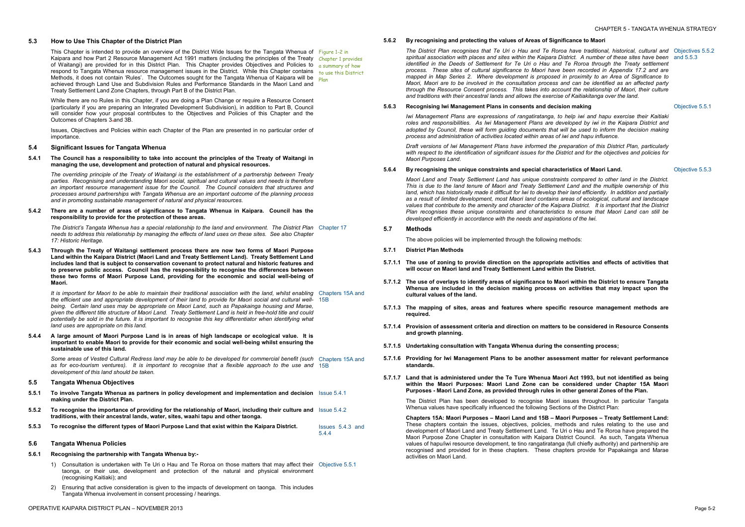- 
- 

# **5.3 How to Use This Chapter of the District Plan**

This Chapter is intended to provide an overview of the District Wide Issues for the Tangata Whenua of Figure 1-2 in Kaipara and how Part 2 Resource Management Act 1991 matters (including the principles of the Treaty Chapter 1 provides of Waitangi) are provided for in this District Plan. This Chapter provides Objectives and Policies to a summary of how respond to Tangata Whenua resource management issues in the District. While this Chapter contains to use this District Methods, it does not contain 'Rules'. The Outcomes sought for the Tangata Whenua of Kaipara will be plan achieved through Land Use and Subdivision Rules and Performance Standards in the Maori Land and Treaty Settlement Land Zone Chapters, through Part B of the District Plan.

5.4.1 The Council has a responsibility to take into account the principles of the Treaty of Waitangi in **managing the use, development and protection of natural and physical resources.** 

While there are no Rules in this Chapter, if you are doing a Plan Change or require a Resource Consent (particularly if you are preparing an Integrated Development Subdivision), in addition to Part B, Council will consider how your proposal contributes to the Objectives and Policies of this Chapter and the Outcomes of Chapters 3 and 3B.

Issues, Objectives and Policies within each Chapter of the Plan are presented in no particular order of importance.

#### **5.4 Significant Issues for Tangata Whenua**

It is important for Maori to be able to maintain their traditional association with the land, whilst enabling Chapters 15A and the efficient use and appropriate development of their land to provide for Maori social and cultural well- 15B *being. Certain land uses may be appropriate on Maori Land, such as Papakainga housing and Marae, given the different title structure of Maori Land. Treaty Settlement Land is held in free-hold title and could*  potentially be sold in the future. It is important to recognise this key differentiator when identifying what *land uses are appropriate on this land.* 

*The overriding principle of the Treaty of Waitangi is the establishment of a partnership between Treaty parties. Recognising and understanding Maori social, spiritual and cultural values and needs is therefore an important resource management issue for the Council. The Council considers that structures and processes around partnerships with Tangata Whenua are an important outcome of the planning process and in promoting sustainable management of natural and physical resources.* 

5.4.4 A large amount of Maori Purpose Land is in areas of high landscape or ecological value. It is **important to enable Maori to provide for their economic and social well-being whilst ensuring the sustainable use of this land.** 

Some areas of Vested Cultural Redress land may be able to be developed for commercial benefit (such Chapters 15A and *as for eco-tourism ventures). It is important to recognise that a flexible approach to the use and*  15B *development of this land should be taken.* 

**5.4.2 There are a number of areas of significance to Tangata Whenua in Kaipara. Council has the responsibility to provide for the protection of these areas.** 

*The District's Tangata Whenua has a special relationship to the land and environment. The District Plan*  Chapter 17 *needs to address this relationship by managing the effects of land uses on these sites. See also Chapter 17: Historic Heritage.* 

**5.4.3 Through the Treaty of Waitangi settlement process there are now two forms of Maori Purpose Land within the Kaipara District (Maori Land and Treaty Settlement Land). Treaty Settlement Land includes land that is subject to conservation covenant to protect natural and historic features and to preserve public access. Council has the responsibility to recognise the differences between these two forms of Maori Purpose Land, providing for the economic and social well-being of Maori.** 

The District Plan recognises that Te Uri o Hau and Te Roroa have traditional, historical, cultural and Objectives 5.5.2 spiritual association with places and sites within the Kaipara District. A number of these sites have been and 5.5.3 *identified in the Deeds of Settlement for Te Uri o Hau and Te Roroa through the Treaty settlement process. These sites of cultural significance to Maori have been recorded in Appendix 17.2 and are mapped in Map Series 2. Where development is proposed in proximity to an Area of Significance to*  Maori, Maori are to be involved in the consultation process and can be identified as an affected party *through the Resource Consent process. This takes into account the relationship of Maori, their culture and traditions with their ancestral lands and allows the exercise of Kaitiakitanga over the land.* 

#### **5.5 Tangata Whenua Objectives**

- **5.5.1 To involve Tangata Whenua as partners in policy development and implementation and decision**  Issue 5.4.1 **making under the District Plan.**
- 5.5.2 To recognise the importance of providing for the relationship of Maori, including their culture and Issue 5.4.2 **traditions, with their ancestral lands, water, sites, waahi tapu and other taonga.**
- **5.5.3 To recognise the different types of Maori Purpose Land that exist within the Kaipara District.** Issues 5.4.3 and

5.4.4

#### **5.6 Tangata Whenua Policies**

- **5.6.1 Recognising the partnership with Tangata Whenua by:-** 
	- 1) Consultation is undertaken with Te Uri o Hau and Te Roroa on those matters that may affect their Objective 5.5.1 taonga, or their use, development and protection of the natural and physical environment (recognising Kaitiaki); and
	- 2) Ensuring that active consideration is given to the impacts of development on taonga. This includes Tangata Whenua involvement in consent processing / hearings.

#### **5.6.2 By recognising and protecting the values of Areas of Significance to Maori**

### **5.6.3 Recognising Iwi Management Plans in consents and decision making**

*Iwi Management Plans are expressions of rangatiratanga, to help iwi and hapu exercise their Kaitiaki roles and responsibilities. As Iwi Management Plans are developed by iwi in the Kaipara District and adopted by Council, these will form guiding documents that will be used to inform the decision making process and administration of activities located within areas of iwi and hapu influence.* 

*Draft versions of Iwi Management Plans have informed the preparation of this District Plan, particularly*  with respect to the identification of significant issues for the District and for the objectives and policies for *Maori Purposes Land.* 

Objective 5.5.1

# **5.6.4 By recognising the unique constraints and special characteristics of Maori Land.**

*Maori Land and Treaty Settlement Land has unique constraints compared to other land in the District.*  This is due to the land tenure of Maori and Treaty Settlement Land and the multiple ownership of this *land, which has historically made it difficult for Iwi to develop their land efficiently. In addition and partially as a result of limited development, most Maori land contains areas of ecological, cultural and landscape values that contribute to the amenity and character of the Kaipara District. It is important that the District Plan recognises these unique constraints and characteristics to ensure that Maori Land can still be developed efficiently in accordance with the needs and aspirations of the Iwi.* 

Objective 5.5.3

#### **5.7 Methods**

The above policies will be implemented through the following methods:

- **5.7.1 District Plan Methods**
- 5.7.1.1 The use of zoning to provide direction on the appropriate activities and effects of activities that **will occur on Maori land and Treaty Settlement Land within the District.**
- 5.7.1.2 The use of overlays to identify areas of significance to Maori within the District to ensure Tangata **Whenua are included in the decision making process on activities that may impact upon the cultural values of the land.**
- **5.7.1.3 The mapping of sites, areas and features where specific resource management methods are required.**
- **5.7.1.4 Provision of assessment criteria and direction on matters to be considered in Resource Consents and growth planning.**
- **5.7.1.5 Undertaking consultation with Tangata Whenua during the consenting process;**
- **5.7.1.6 Providing for Iwi Management Plans to be another assessment matter for relevant performance standards.**
- 5.7.1.7 Land that is administered under the Te Ture Whenua Maori Act 1993, but not identified as being **within the Maori Purposes: Maori Land Zone can be considered under Chapter 15A Maori Purposes - Maori Land Zone, as provided through rules in other general Zones of the Plan.**

The District Plan has been developed to recognise Maori issues throughout. In particular Tangata Whenua values have specifically influenced the following Sections of the District Plan:

**Chapters 15A: Maori Purposes – Maori Land and 15B – Maori Purposes – Treaty Settlement Land:** These chapters contain the issues, objectives, policies, methods and rules relating to the use and development of Maori Land and Treaty Settlement Land. Te Uri o Hau and Te Roroa have prepared the Maori Purpose Zone Chapter in consultation with Kaipara District Council. As such, Tangata Whenua values of hapu/iwi resource development, te tino rangatiratanga (full chiefly authority) and partnership are recognised and provided for in these chapters. These chapters provide for Papakainga and Marae activities on Maori Land.